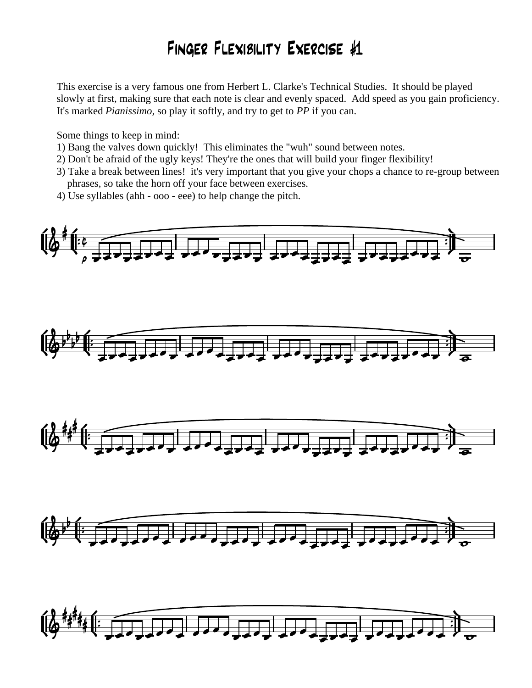## Finger Flexibility Exercise #1

This exercise is a very famous one from Herbert L. Clarke's Technical Studies. It should be played slowly at first, making sure that each note is clear and evenly spaced. Add speed as you gain proficiency. It's marked *Pianissimo,* so play it softly, and try to get to *PP* if you can.

Some things to keep in mind:

- 1) Bang the valves down quickly! This eliminates the "wuh" sound between notes.
- 2) Don't be afraid of the ugly keys! They're the ones that will build your finger flexibility!
- 3) Take a break between lines! it's very important that you give your chops a chance to re-group between phrases, so take the horn off your face between exercises.
- 4) Use syllables (ahh ooo eee) to help change the pitch*.*